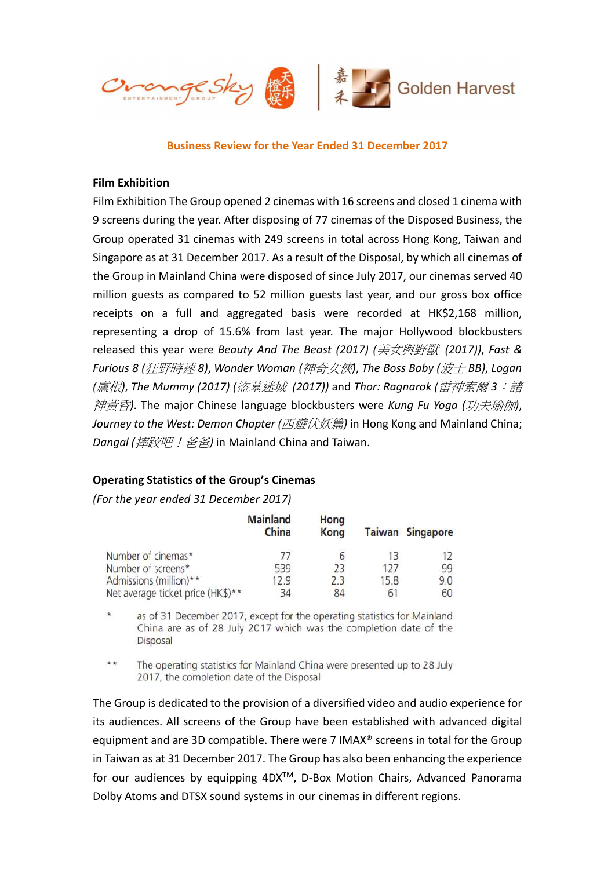

Business Review for the Year Ended 31 December 2017

#### Film Exhibition

Film Exhibition The Group opened 2 cinemas with 16 screens and closed 1 cinema with 9 screens during the year. After disposing of 77 cinemas of the Disposed Business, the Group operated 31 cinemas with 249 screens in total across Hong Kong, Taiwan and Singapore as at 31 December 2017. As a result of the Disposal, by which all cinemas of the Group in Mainland China were disposed of since July 2017, our cinemas served 40 million guests as compared to 52 million guests last year, and our gross box office receipts on a full and aggregated basis were recorded at HK\$2,168 million, representing a drop of 15.6% from last year. The major Hollywood blockbusters released this year were Beauty And The Beast (2017) (美女與野獸 (2017)), Fast & Furious 8 (狂野時速 8), Wonder Woman (神奇女俠), The Boss Baby (波士 BB), Logan (盧根), The Mummy (2017) (盜墓迷城 (2017)) and Thor: Ragnarok (雷神索爾 3: 諸 神黃昏). The major Chinese language blockbusters were Kung Fu Yoga (功夫瑜伽), Journey to the West: Demon Chapter (西遊伏妖篇) in Hong Kong and Mainland China; Dangal (摔跤吧!  $\hat{\mathcal{B}}\hat{\mathcal{B}}$ ) in Mainland China and Taiwan.

#### Operating Statistics of the Group's Cinemas

(For the year ended 31 December 2017)

|                                   | <b>Mainland</b><br>China | Hong<br>Kong |      | <b>Taiwan Singapore</b> |
|-----------------------------------|--------------------------|--------------|------|-------------------------|
| Number of cinemas*                | 77                       |              | 13   |                         |
| Number of screens*                | 539                      | 23           | 127  | 99                      |
| Admissions (million)**            | 12.9                     | 2.3          | 15.8 | 9.0                     |
| Net average ticket price (HK\$)** | 34                       | 84           |      | 60                      |

 $\star$ as of 31 December 2017, except for the operating statistics for Mainland China are as of 28 July 2017 which was the completion date of the Disposal

 $**$ The operating statistics for Mainland China were presented up to 28 July 2017, the completion date of the Disposal

The Group is dedicated to the provision of a diversified video and audio experience for its audiences. All screens of the Group have been established with advanced digital equipment and are 3D compatible. There were 7 IMAX® screens in total for the Group in Taiwan as at 31 December 2017. The Group has also been enhancing the experience for our audiences by equipping 4DX<sup>™</sup>, D-Box Motion Chairs, Advanced Panorama Dolby Atoms and DTSX sound systems in our cinemas in different regions.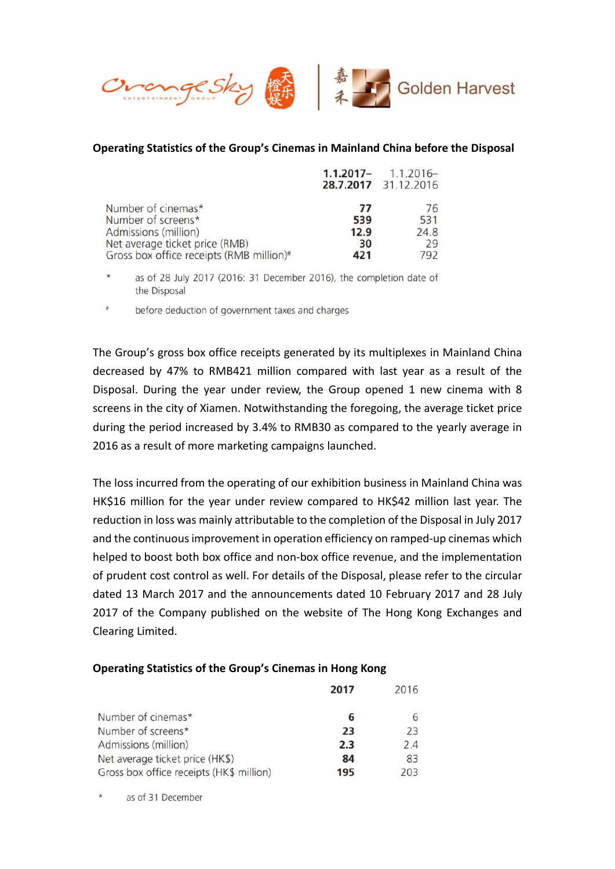

### Operating Statistics of the Group's Cinemas in Mainland China before the Disposal

|                                                      |      | $1.1.2017 - 1.1.2016 -$<br>28.7.2017 31.12.2016 |
|------------------------------------------------------|------|-------------------------------------------------|
| Number of cinemas*                                   | 77   | 76                                              |
| Number of screens*                                   | 539  | 531                                             |
| Admissions (million)                                 | 12.9 | 24.8                                            |
| Net average ticket price (RMB)                       | 30   | 29                                              |
| Gross box office receipts (RMB million) <sup>#</sup> | 421  | 792                                             |

as of 28 July 2017 (2016: 31 December 2016), the completion date of the Disposal

 $\#$ before deduction of government taxes and charges

The Group's gross box office receipts generated by its multiplexes in Mainland China decreased by 47% to RMB421 million compared with last year as a result of the Disposal. During the year under review, the Group opened 1 new cinema with 8 screens in the city of Xiamen. Notwithstanding the foregoing, the average ticket price during the period increased by 3.4% to RMB30 as compared to the yearly average in 2016 as a result of more marketing campaigns launched.

The loss incurred from the operating of our exhibition business in Mainland China was HK\$16 million for the year under review compared to HK\$42 million last year. The reduction in loss was mainly attributable to the completion of the Disposal in July 2017 and the continuous improvement in operation efficiency on ramped-up cinemas which helped to boost both box office and non-box office revenue, and the implementation of prudent cost control as well. For details of the Disposal, please refer to the circular dated 13 March 2017 and the announcements dated 10 February 2017 and 28 July 2017 of the Company published on the website of The Hong Kong Exchanges and Clearing Limited.

#### Operating Statistics of the Group's Cinemas in Hong Kong

|                                          | 2017 | 2016 |
|------------------------------------------|------|------|
| Number of cinemas*                       | 6    |      |
| Number of screens*                       | 23   | 73   |
| Admissions (million)                     | 2.3  | 24   |
| Net average ticket price (HK\$)          | 84   | 83   |
| Gross box office receipts (HK\$ million) | 195  | 203  |

 $\star$ as of 31 December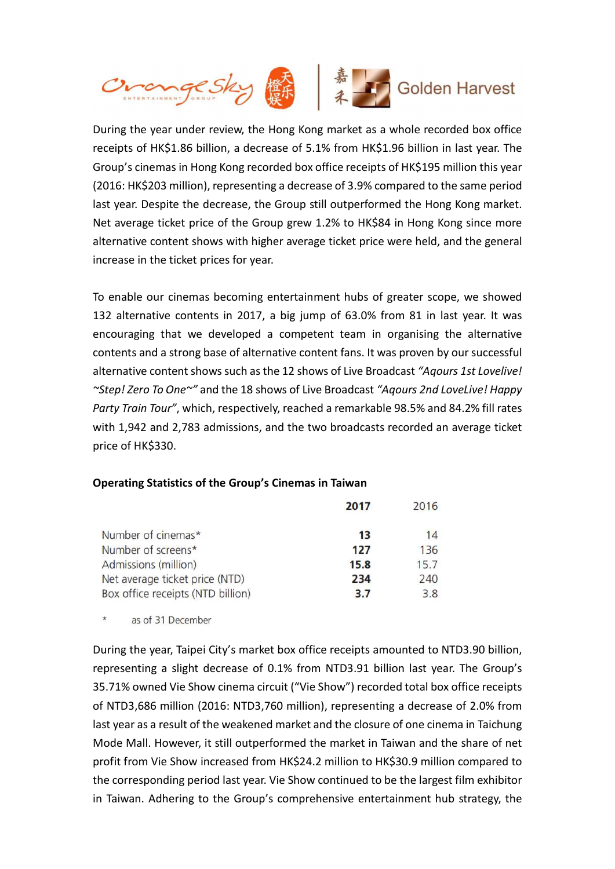

During the year under review, the Hong Kong market as a whole recorded box office receipts of HK\$1.86 billion, a decrease of 5.1% from HK\$1.96 billion in last year. The Group's cinemas in Hong Kong recorded box office receipts of HK\$195 million this year (2016: HK\$203 million), representing a decrease of 3.9% compared to the same period last year. Despite the decrease, the Group still outperformed the Hong Kong market. Net average ticket price of the Group grew 1.2% to HK\$84 in Hong Kong since more alternative content shows with higher average ticket price were held, and the general increase in the ticket prices for year.

To enable our cinemas becoming entertainment hubs of greater scope, we showed 132 alternative contents in 2017, a big jump of 63.0% from 81 in last year. It was encouraging that we developed a competent team in organising the alternative contents and a strong base of alternative content fans. It was proven by our successful alternative content shows such as the 12 shows of Live Broadcast "Aqours 1st Lovelive! ~Step! Zero To One~" and the 18 shows of Live Broadcast "Aqours 2nd LoveLive! Happy Party Train Tour", which, respectively, reached a remarkable 98.5% and 84.2% fill rates with 1,942 and 2,783 admissions, and the two broadcasts recorded an average ticket price of HK\$330.

# Operating Statistics of the Group's Cinemas in Taiwan

|                                   | 2017 | 2016 |
|-----------------------------------|------|------|
| Number of cinemas*                | 13   | 14   |
| Number of screens*                | 127  | 136  |
| Admissions (million)              | 15.8 | 15.7 |
| Net average ticket price (NTD)    | 234  | 240  |
| Box office receipts (NTD billion) | 3.7  | 3.8  |

 $^\star$ as of 31 December

During the year, Taipei City's market box office receipts amounted to NTD3.90 billion, representing a slight decrease of 0.1% from NTD3.91 billion last year. The Group's 35.71% owned Vie Show cinema circuit ("Vie Show") recorded total box office receipts of NTD3,686 million (2016: NTD3,760 million), representing a decrease of 2.0% from last year as a result of the weakened market and the closure of one cinema in Taichung Mode Mall. However, it still outperformed the market in Taiwan and the share of net profit from Vie Show increased from HK\$24.2 million to HK\$30.9 million compared to the corresponding period last year. Vie Show continued to be the largest film exhibitor in Taiwan. Adhering to the Group's comprehensive entertainment hub strategy, the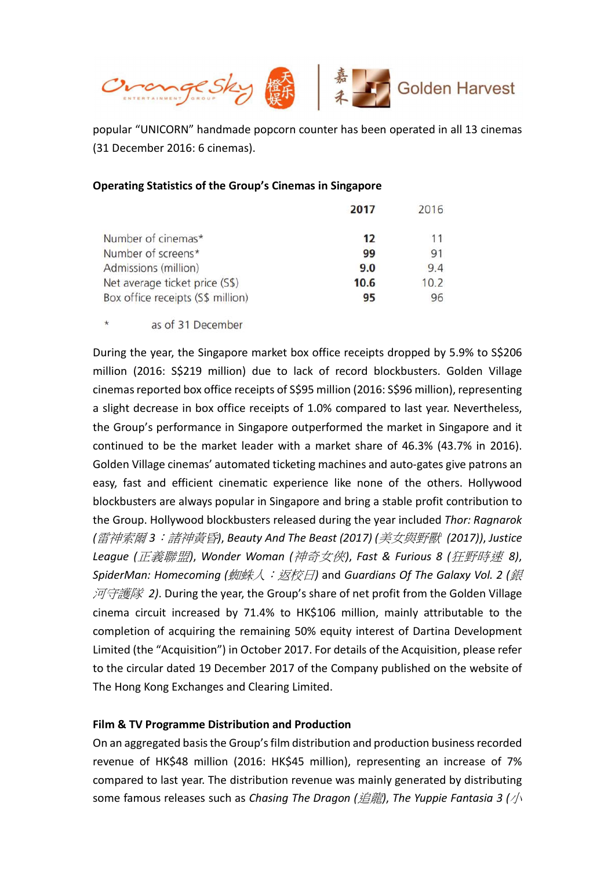

popular "UNICORN" handmade popcorn counter has been operated in all 13 cinemas (31 December 2016: 6 cinemas).

### Operating Statistics of the Group's Cinemas in Singapore

|                                   | 2017 | 2016 |
|-----------------------------------|------|------|
| Number of cinemas*                | 12   | 11   |
| Number of screens*                | 99   | 91   |
| Admissions (million)              | 9.0  | 9.4  |
| Net average ticket price (S\$)    | 10.6 | 10.2 |
| Box office receipts (S\$ million) | 95   | 96   |

 $\star$ as of 31 December

During the year, the Singapore market box office receipts dropped by 5.9% to S\$206 million (2016: S\$219 million) due to lack of record blockbusters. Golden Village cinemas reported box office receipts of S\$95 million (2016: S\$96 million), representing a slight decrease in box office receipts of 1.0% compared to last year. Nevertheless, the Group's performance in Singapore outperformed the market in Singapore and it continued to be the market leader with a market share of 46.3% (43.7% in 2016). Golden Village cinemas' automated ticketing machines and auto-gates give patrons an easy, fast and efficient cinematic experience like none of the others. Hollywood blockbusters are always popular in Singapore and bring a stable profit contribution to the Group. Hollywood blockbusters released during the year included Thor: Ragnarok (雷神索爾 3: 諸神黃昏), Beauty And The Beast (2017) (美女與野獸 (2017)), Justice League (正義聯盟), Wonder Woman (神奇女俠), Fast & Furious 8 (狂野時速 8), SpiderMan: Homecoming (蜘蛛人: 返校日) and Guardians Of The Galaxy Vol. 2 (銀  $\overline{\mathcal{M}}$ 守護隊 2). During the year, the Group's share of net profit from the Golden Village cinema circuit increased by 71.4% to HK\$106 million, mainly attributable to the completion of acquiring the remaining 50% equity interest of Dartina Development Limited (the "Acquisition") in October 2017. For details of the Acquisition, please refer to the circular dated 19 December 2017 of the Company published on the website of The Hong Kong Exchanges and Clearing Limited.

# Film & TV Programme Distribution and Production

On an aggregated basis the Group's film distribution and production business recorded revenue of HK\$48 million (2016: HK\$45 million), representing an increase of 7% compared to last year. The distribution revenue was mainly generated by distributing some famous releases such as Chasing The Dragon (追龍), The Yuppie Fantasia 3 ( $\sqrt{N}$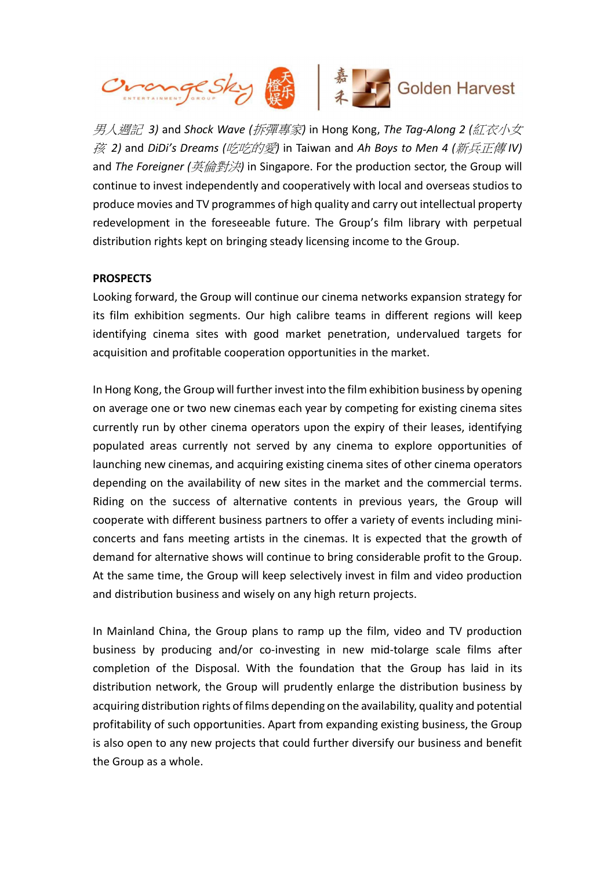

男人週記 3) and Shock Wave (拆彈專家) in Hong Kong, The Tag-Along 2 (紅衣小女  $\tilde{\mathcal{B}}$  2) and DiDi's Dreams (吃吃的愛) in Taiwan and Ah Boys to Men 4 (新兵正傳 IV) and The Foreigner (英倫對決) in Singapore. For the production sector, the Group will continue to invest independently and cooperatively with local and overseas studios to produce movies and TV programmes of high quality and carry out intellectual property redevelopment in the foreseeable future. The Group's film library with perpetual distribution rights kept on bringing steady licensing income to the Group.

### **PROSPECTS**

Looking forward, the Group will continue our cinema networks expansion strategy for its film exhibition segments. Our high calibre teams in different regions will keep identifying cinema sites with good market penetration, undervalued targets for acquisition and profitable cooperation opportunities in the market.

In Hong Kong, the Group will further invest into the film exhibition business by opening on average one or two new cinemas each year by competing for existing cinema sites currently run by other cinema operators upon the expiry of their leases, identifying populated areas currently not served by any cinema to explore opportunities of launching new cinemas, and acquiring existing cinema sites of other cinema operators depending on the availability of new sites in the market and the commercial terms. Riding on the success of alternative contents in previous years, the Group will cooperate with different business partners to offer a variety of events including miniconcerts and fans meeting artists in the cinemas. It is expected that the growth of demand for alternative shows will continue to bring considerable profit to the Group. At the same time, the Group will keep selectively invest in film and video production and distribution business and wisely on any high return projects.

In Mainland China, the Group plans to ramp up the film, video and TV production business by producing and/or co-investing in new mid-tolarge scale films after completion of the Disposal. With the foundation that the Group has laid in its distribution network, the Group will prudently enlarge the distribution business by acquiring distribution rights of films depending on the availability, quality and potential profitability of such opportunities. Apart from expanding existing business, the Group is also open to any new projects that could further diversify our business and benefit the Group as a whole.